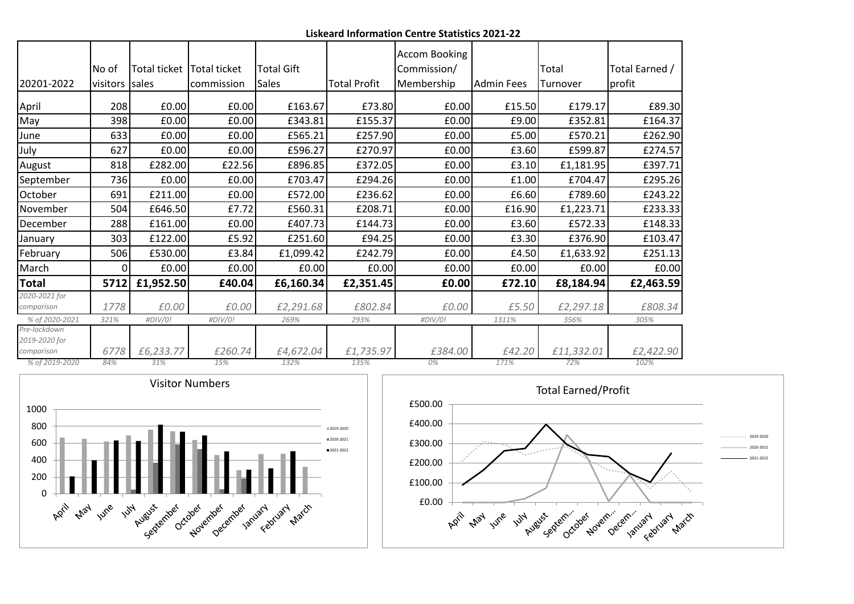**Liskeard Information Centre Statistics 2021-22**

|                               |          |              |                     |                   |                     | Accom Booking |             |            |                |
|-------------------------------|----------|--------------|---------------------|-------------------|---------------------|---------------|-------------|------------|----------------|
|                               | No of    | Total ticket | <b>Total ticket</b> | <b>Total Gift</b> |                     | Commission/   |             | Total      | Total Earned / |
| 20201-2022                    | visitors | sales        | commission          | <b>Sales</b>      | <b>Total Profit</b> | Membership    | lAdmin Fees | Turnover   | profit         |
| April                         | 208      | £0.00        | £0.00               | £163.67           | £73.80              | £0.00         | £15.50      | £179.17    | £89.30         |
| May                           | 398      | £0.00        | £0.00               | £343.81           | £155.37             | £0.00         | £9.00       | £352.81    | £164.37        |
| June                          | 633      | £0.00        | £0.00               | £565.21           | £257.90             | £0.00         | £5.00       | £570.21    | £262.90        |
| July                          | 627      | £0.00        | £0.00               | £596.27           | £270.97             | £0.00         | £3.60       | £599.87    | £274.57        |
| August                        | 818      | £282.00      | £22.56              | £896.85           | £372.05             | £0.00         | £3.10       | £1,181.95  | £397.71        |
| September                     | 736      | £0.00        | £0.00               | £703.47           | £294.26             | £0.00         | £1.00       | £704.47    | £295.26        |
| October                       | 691      | £211.00      | £0.00               | £572.00           | £236.62             | £0.00         | £6.60       | £789.60    | £243.22        |
| November                      | 504      | £646.50      | £7.72               | £560.31           | £208.71             | £0.00         | £16.90      | £1,223.71  | £233.33        |
| December                      | 288      | £161.00      | £0.00               | £407.73           | £144.73             | £0.00         | £3.60       | £572.33    | £148.33        |
| January                       | 303      | £122.00      | £5.92               | £251.60           | £94.25              | £0.00         | £3.30       | £376.90    | £103.47        |
| February                      | 506      | £530.00      | £3.84               | £1,099.42         | £242.79             | £0.00         | £4.50       | £1,633.92  | £251.13        |
| March                         | ΩI       | £0.00        | £0.00               | E0.00             | £0.00               | £0.00         | £0.00       | £0.00      | £0.00          |
| Total                         | 5712     | £1,952.50    | £40.04              | £6,160.34         | £2,351.45           | £0.00         | £72.10      | £8,184.94  | £2,463.59      |
| 2020-2021 for                 |          |              |                     |                   |                     |               |             |            |                |
| comparison                    | 1778     | £0.00        | £0.00               | £2,291.68         | £802.84             | £0.00         | £5.50       | £2,297.18  | £808.34        |
| % of 2020-2021                | 321%     | #DIV/0!      | #DIV/0!             | 269%              | 293%                | #DIV/0!       | 1311%       | 356%       | 305%           |
| Pre-lockdown<br>2019-2020 for |          |              |                     |                   |                     |               |             |            |                |
| comparison                    | 6778     | £6,233.77    | £260.74             | £4,672.04         | £1,735.97           | £384.00       | £42.20      | £11,332.01 | £2,422.90      |
| % of 2019-2020                | 84%      | 31%          | 15%                 | 132%              | 135%                | 0%            | 171%        | 72%        | 102%           |